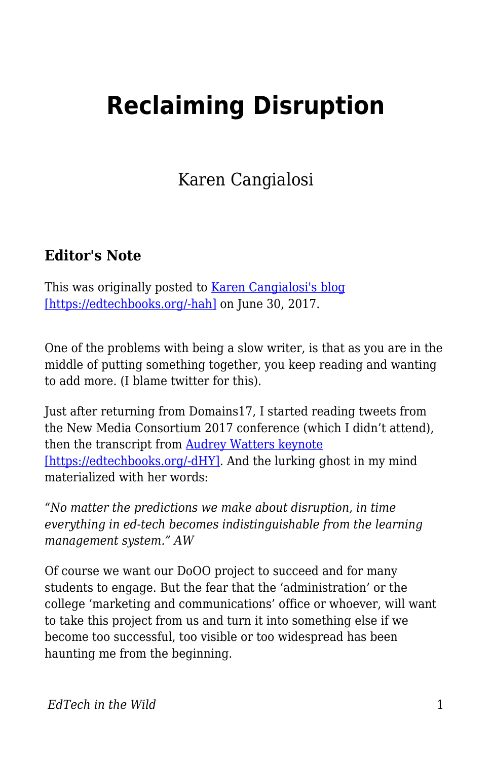## **Reclaiming Disruption**

Karen Cangialosi

## **Editor's Note**

This was originally posted to [Karen Cangialosi's blog](https://karencang.net/teaching/reclaiming-disruption/) [\[https://edtechbooks.org/-hah\]](https://karencang.net/teaching/reclaiming-disruption/) on June 30, 2017.

One of the problems with being a slow writer, is that as you are in the middle of putting something together, you keep reading and wanting to add more. (I blame twitter for this).

Just after returning from Domains17, I started reading tweets from the New Media Consortium 2017 conference (which I didn't attend), then the transcript from [Audrey Watters keynote](http://hackeducation.com/2017/06/15/robots-raising-children) [\[https://edtechbooks.org/-dHY\].](http://hackeducation.com/2017/06/15/robots-raising-children) And the lurking ghost in my mind materialized with her words:

*"No matter the predictions we make about disruption, in time everything in ed-tech becomes indistinguishable from the learning management system." AW*

Of course we want our DoOO project to succeed and for many students to engage. But the fear that the 'administration' or the college 'marketing and communications' office or whoever, will want to take this project from us and turn it into something else if we become too successful, too visible or too widespread has been haunting me from the beginning.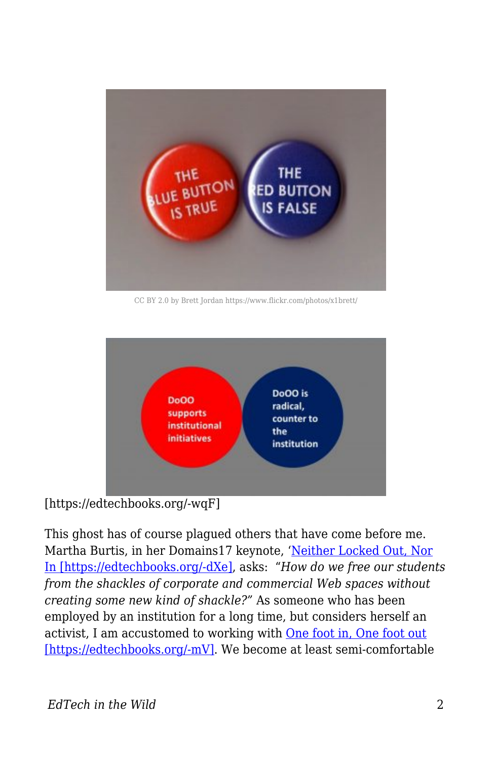

CC BY 2.0 by Brett Jordan https://www.flickr.com/photos/x1brett/



[https://edtechbooks.org/-wqF]

This ghost has of course plagued others that have come before me. Martha Burtis, in her Domains17 keynote, '[Neither Locked Out, Nor](http://wrapping.marthaburtis.net/2017/06/05/locked-in-out/) [In \[https://edtechbooks.org/-dXe\]](http://wrapping.marthaburtis.net/2017/06/05/locked-in-out/), asks: "*How do we free our students from the shackles of corporate and commercial Web spaces without creating some new kind of shackle?"* As someone who has been employed by an institution for a long time, but considers herself an activist, I am accustomed to working with [One foot in, One foot out](https://karencang.net/open-education/one-foot-in-one-foot-out/) [\[https://edtechbooks.org/-mV\]](https://karencang.net/open-education/one-foot-in-one-foot-out/). We become at least semi-comfortable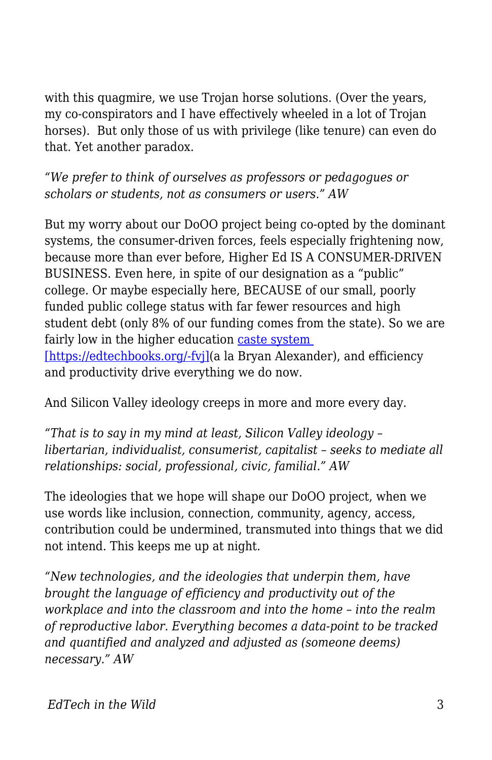with this quagmire, we use Trojan horse solutions. (Over the years, my co-conspirators and I have effectively wheeled in a lot of Trojan horses). But only those of us with privilege (like tenure) can even do that. Yet another paradox.

*"We prefer to think of ourselves as professors or pedagogues or scholars or students, not as consumers or users." AW*

But my worry about our DoOO project being co-opted by the dominant systems, the consumer-driven forces, feels especially frightening now, because more than ever before, Higher Ed IS A CONSUMER-DRIVEN BUSINESS. Even here, in spite of our designation as a "public" college. Or maybe especially here, BECAUSE of our small, poorly funded public college status with far fewer resources and high student debt (only 8% of our funding comes from the state). So we are fairly low in the higher education [caste system](https://bryanalexander.org/2017/06/18/building-an-american-caste-system-part-1-rural-folk/)  [\[https://edtechbooks.org/-fvj\]\(](https://bryanalexander.org/2017/06/18/building-an-american-caste-system-part-1-rural-folk/)a la Bryan Alexander), and efficiency and productivity drive everything we do now.

And Silicon Valley ideology creeps in more and more every day.

*"That is to say in my mind at least, Silicon Valley ideology – libertarian, individualist, consumerist, capitalist – seeks to mediate all relationships: social, professional, civic, familial." AW*

The ideologies that we hope will shape our DoOO project, when we use words like inclusion, connection, community, agency, access, contribution could be undermined, transmuted into things that we did not intend. This keeps me up at night.

*"New technologies, and the ideologies that underpin them, have brought the language of efficiency and productivity out of the workplace and into the classroom and into the home – into the realm of reproductive labor. Everything becomes a data-point to be tracked and quantified and analyzed and adjusted as (someone deems) necessary." AW*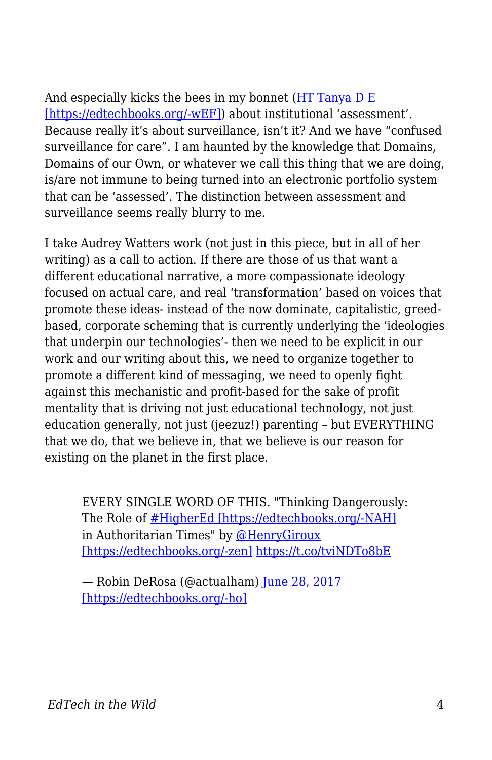And especially kicks the bees in my bonnet ([HT Tanya D E](http://heretothere.trubox.ca/noticing-feeling-bees/) [\[https://edtechbooks.org/-wEF\]\)](http://heretothere.trubox.ca/noticing-feeling-bees/) about institutional 'assessment'. Because really it's about surveillance, isn't it? And we have "confused surveillance for care". I am haunted by the knowledge that Domains, Domains of our Own, or whatever we call this thing that we are doing, is/are not immune to being turned into an electronic portfolio system that can be 'assessed'. The distinction between assessment and surveillance seems really blurry to me.

I take Audrey Watters work (not just in this piece, but in all of her writing) as a call to action. If there are those of us that want a different educational narrative, a more compassionate ideology focused on actual care, and real 'transformation' based on voices that promote these ideas- instead of the now dominate, capitalistic, greedbased, corporate scheming that is currently underlying the 'ideologies that underpin our technologies'- then we need to be explicit in our work and our writing about this, we need to organize together to promote a different kind of messaging, we need to openly fight against this mechanistic and profit-based for the sake of profit mentality that is driving not just educational technology, not just education generally, not just (jeezuz!) parenting – but EVERYTHING that we do, that we believe in, that we believe is our reason for existing on the planet in the first place.

EVERY SINGLE WORD OF THIS. "Thinking Dangerously: The Role of [#HigherEd \[https://edtechbooks.org/-NAH\]](https://twitter.com/hashtag/HigherEd?src=hash&ref_src=twsrc%5Etfw) in Authoritarian Times" by [@HenryGiroux](https://twitter.com/HenryGiroux?ref_src=twsrc%5Etfw) [\[https://edtechbooks.org/-zen\]](https://twitter.com/HenryGiroux?ref_src=twsrc%5Etfw) <https://t.co/tviNDTo8bE>

— Robin DeRosa (@actualham) [June 28, 2017](https://twitter.com/actualham/status/879885842369654790?ref_src=twsrc%5Etfw) [\[https://edtechbooks.org/-ho\]](https://twitter.com/actualham/status/879885842369654790?ref_src=twsrc%5Etfw)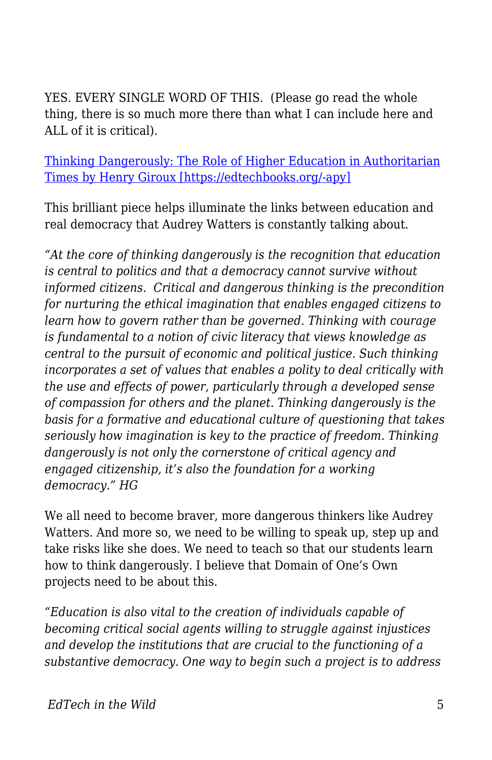YES. EVERY SINGLE WORD OF THIS. (Please go read the whole thing, there is so much more there than what I can include here and ALL of it is critical).

[Thinking Dangerously: The Role of Higher Education in Authoritarian](http://www.truth-out.org/opinion/item/41058-thinking-dangerously-the-role-of-higher-education-in-authoritarian-times) [Times by Henry Giroux \[https://edtechbooks.org/-apy\]](http://www.truth-out.org/opinion/item/41058-thinking-dangerously-the-role-of-higher-education-in-authoritarian-times)

This brilliant piece helps illuminate the links between education and real democracy that Audrey Watters is constantly talking about.

*"At the core of thinking dangerously is the recognition that education is central to politics and that a democracy cannot survive without informed citizens. Critical and dangerous thinking is the precondition for nurturing the ethical imagination that enables engaged citizens to learn how to govern rather than be governed. Thinking with courage is fundamental to a notion of civic literacy that views knowledge as central to the pursuit of economic and political justice. Such thinking incorporates a set of values that enables a polity to deal critically with the use and effects of power, particularly through a developed sense of compassion for others and the planet. Thinking dangerously is the basis for a formative and educational culture of questioning that takes seriously how imagination is key to the practice of freedom. Thinking dangerously is not only the cornerstone of critical agency and engaged citizenship, it's also the foundation for a working democracy." HG*

We all need to become braver, more dangerous thinkers like Audrey Watters. And more so, we need to be willing to speak up, step up and take risks like she does. We need to teach so that our students learn how to think dangerously. I believe that Domain of One's Own projects need to be about this.

*"Education is also vital to the creation of individuals capable of becoming critical social agents willing to struggle against injustices and develop the institutions that are crucial to the functioning of a substantive democracy. One way to begin such a project is to address*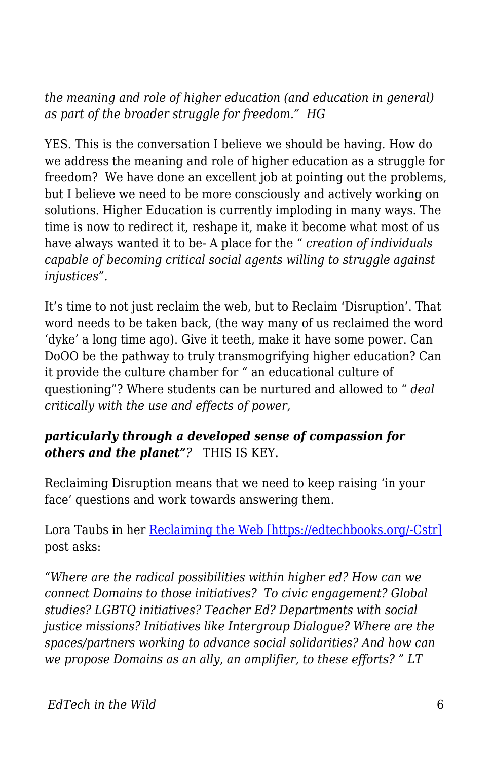*the meaning and role of higher education (and education in general) as part of the broader struggle for freedom." HG* 

YES. This is the conversation I believe we should be having. How do we address the meaning and role of higher education as a struggle for freedom? We have done an excellent job at pointing out the problems, but I believe we need to be more consciously and actively working on solutions. Higher Education is currently imploding in many ways. The time is now to redirect it, reshape it, make it become what most of us have always wanted it to be- A place for the " *creation of individuals capable of becoming critical social agents willing to struggle against injustices".*

It's time to not just reclaim the web, but to Reclaim 'Disruption'. That word needs to be taken back, (the way many of us reclaimed the word 'dyke' a long time ago). Give it teeth, make it have some power. Can DoOO be the pathway to truly transmogrifying higher education? Can it provide the culture chamber for " an educational culture of questioning"? Where students can be nurtured and allowed to " *deal critically with the use and effects of power,*

## *particularly through a developed sense of compassion for others and the planet"?* THIS IS KEY.

Reclaiming Disruption means that we need to keep raising 'in your face' questions and work towards answering them.

Lora Taubs in her [Reclaiming the Web \[https://edtechbooks.org/-Cstr\]](http://lorataub.com/uncategorized/reclaiming-web-domains-2017/) post asks:

*"Where are the radical possibilities within higher ed? How can we connect Domains to those initiatives? To civic engagement? Global studies? LGBTQ initiatives? Teacher Ed? Departments with social justice missions? Initiatives like Intergroup Dialogue? Where are the spaces/partners working to advance social solidarities? And how can we propose Domains as an ally, an amplifier, to these efforts? " LT*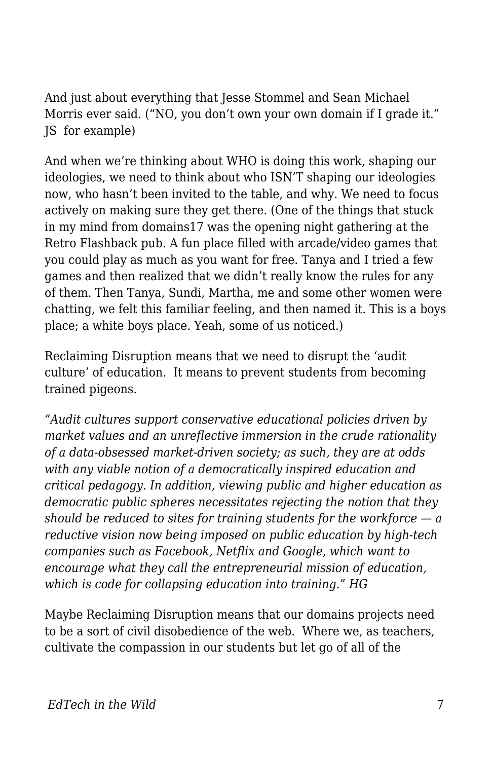And just about everything that Jesse Stommel and Sean Michael Morris ever said. ("NO, you don't own your own domain if I grade it." JS for example)

And when we're thinking about WHO is doing this work, shaping our ideologies, we need to think about who ISN'T shaping our ideologies now, who hasn't been invited to the table, and why. We need to focus actively on making sure they get there. (One of the things that stuck in my mind from domains17 was the opening night gathering at the Retro Flashback pub. A fun place filled with arcade/video games that you could play as much as you want for free. Tanya and I tried a few games and then realized that we didn't really know the rules for any of them. Then Tanya, Sundi, Martha, me and some other women were chatting, we felt this familiar feeling, and then named it. This is a boys place; a white boys place. Yeah, some of us noticed.)

Reclaiming Disruption means that we need to disrupt the 'audit culture' of education. It means to prevent students from becoming trained pigeons.

*"Audit cultures support conservative educational policies driven by market values and an unreflective immersion in the crude rationality of a data-obsessed market-driven society; as such, they are at odds with any viable notion of a democratically inspired education and critical pedagogy. In addition, viewing public and higher education as democratic public spheres necessitates rejecting the notion that they should be reduced to sites for training students for the workforce — a reductive vision now being imposed on public education by high-tech companies such as Facebook, Netflix and Google, which want to encourage what they call the entrepreneurial mission of education, which is code for collapsing education into training." HG*

Maybe Reclaiming Disruption means that our domains projects need to be a sort of civil disobedience of the web. Where we, as teachers, cultivate the compassion in our students but let go of all of the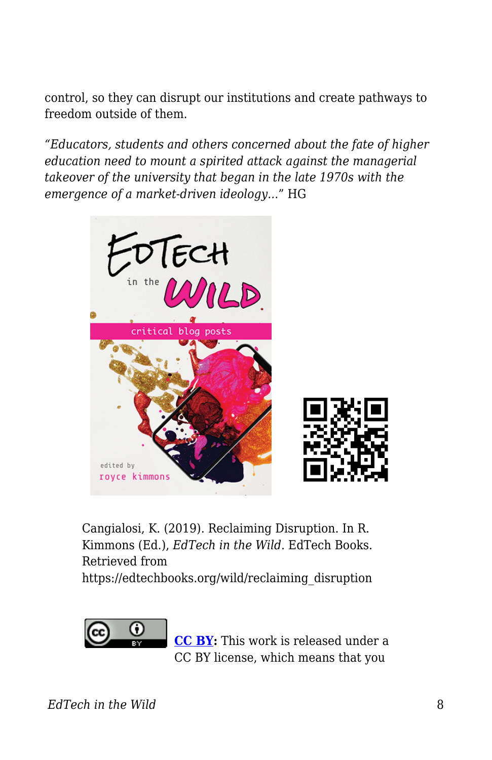control, so they can disrupt our institutions and create pathways to freedom outside of them.

*"Educators, students and others concerned about the fate of higher education need to mount a spirited attack against the managerial takeover of the university that began in the late 1970s with the emergence of a market-driven ideology..*." HG



Cangialosi, K. (2019). Reclaiming Disruption. In R. Kimmons (Ed.), *EdTech in the Wild*. EdTech Books. Retrieved from

https://edtechbooks.org/wild/reclaiming\_disruption



**[CC BY:](https://creativecommons.org/licenses/by/4.0)** This work is released under a CC BY license, which means that you